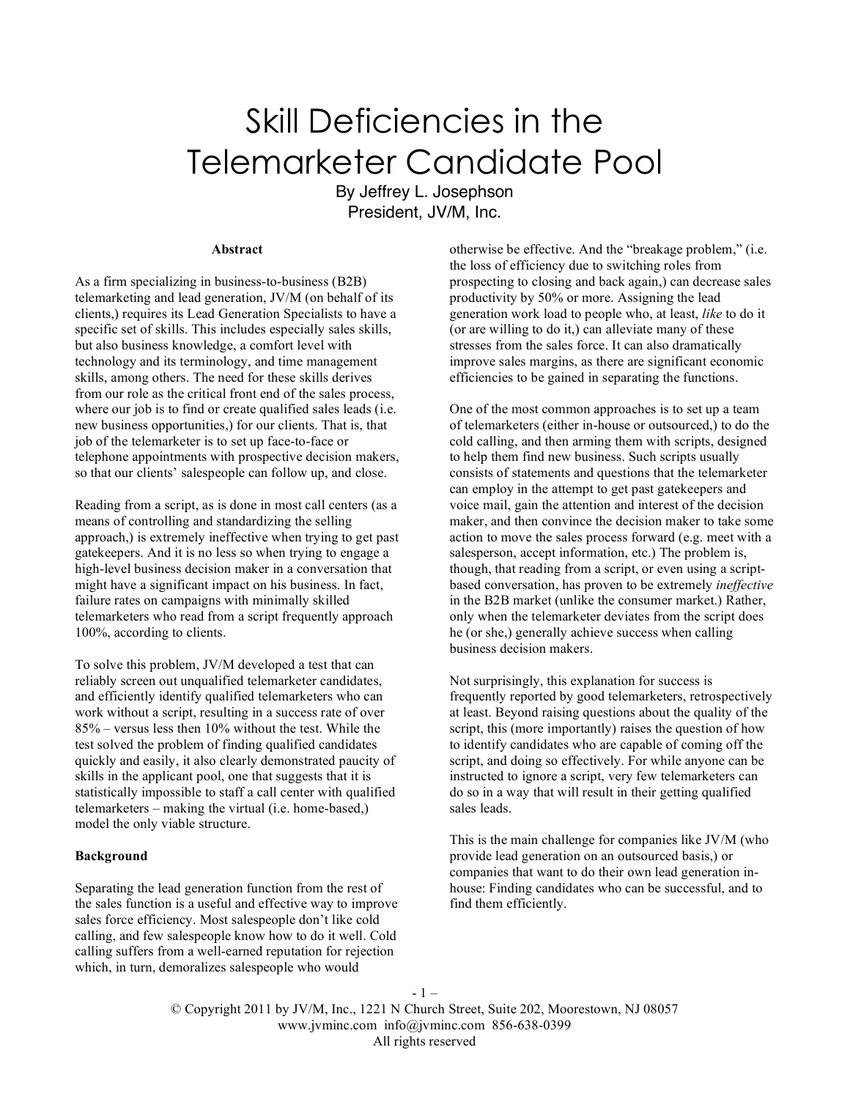# Skill Deficiencies in the Telemarketer Candidate Pool

By Jeffrey L. Josephson President, JV/M, Inc.

#### **Abstract**

As a firm specializing in business-to-business (B2B) telemarketing and lead generation, JV/M (on behalf of its clients,) requires its Lead Generation Specialists to have a specific set of skills. This includes especially sales skills, but also business knowledge, a comfort level with technology and its terminology, and time management skills, among others. The need for these skills derives from our role as the critical front end of the sales process, where our job is to find or create qualified sales leads (i.e. new business opportunities,) for our clients. That is, that job of the telemarketer is to set up face-to-face or telephone appointments with prospective decision makers, so that our clients' salespeople can follow up, and close.

Reading from a script, as is done in most call centers (as a means of controlling and standardizing the selling approach,) is extremely ineffective when trying to get past gatekeepers. And it is no less so when trying to engage a high-level business decision maker in a conversation that might have a significant impact on his business. In fact, failure rates on campaigns with minimally skilled telemarketers who read from a script frequently approach 100%, according to clients.

To solve this problem, JV/M developed a test that can reliably screen out unqualified telemarketer candidates, and efficiently identify qualified telemarketers who can work without a script, resulting in a success rate of over 85% – versus less then 10% without the test. While the test solved the problem of finding qualified candidates quickly and easily, it also clearly demonstrated paucity of skills in the applicant pool, one that suggests that it is statistically impossible to staff a call center with qualified telemarketers – making the virtual (i.e. home-based,) model the only viable structure.

#### **Background**

Separating the lead generation function from the rest of the sales function is a useful and effective way to improve sales force efficiency. Most salespeople don't like cold calling, and few salespeople know how to do it well. Cold calling suffers from a well-earned reputation for rejection which, in turn, demoralizes salespeople who would

otherwise be effective. And the "breakage problem," (i.e. the loss of efficiency due to switching roles from prospecting to closing and back again,) can decrease sales productivity by 50% or more. Assigning the lead generation work load to people who, at least, *like* to do it (or are willing to do it,) can alleviate many of these stresses from the sales force. It can also dramatically improve sales margins, as there are significant economic efficiencies to be gained in separating the functions.

One of the most common approaches is to set up a team of telemarketers (either in-house or outsourced,) to do the cold calling, and then arming them with scripts, designed to help them find new business. Such scripts usually consists of statements and questions that the telemarketer can employ in the attempt to get past gatekeepers and voice mail, gain the attention and interest of the decision maker, and then convince the decision maker to take some action to move the sales process forward (e.g. meet with a salesperson, accept information, etc.) The problem is, though, that reading from a script, or even using a scriptbased conversation, has proven to be extremely *ineffective* in the B2B market (unlike the consumer market.) Rather, only when the telemarketer deviates from the script does he (or she,) generally achieve success when calling business decision makers.

Not surprisingly, this explanation for success is frequently reported by good telemarketers, retrospectively at least. Beyond raising questions about the quality of the script, this (more importantly) raises the question of how to identify candidates who are capable of coming off the script, and doing so effectively. For while anyone can be instructed to ignore a script, very few telemarketers can do so in a way that will result in their getting qualified sales leads.

This is the main challenge for companies like JV/M (who provide lead generation on an outsourced basis,) or companies that want to do their own lead generation inhouse: Finding candidates who can be successful, and to find them efficiently.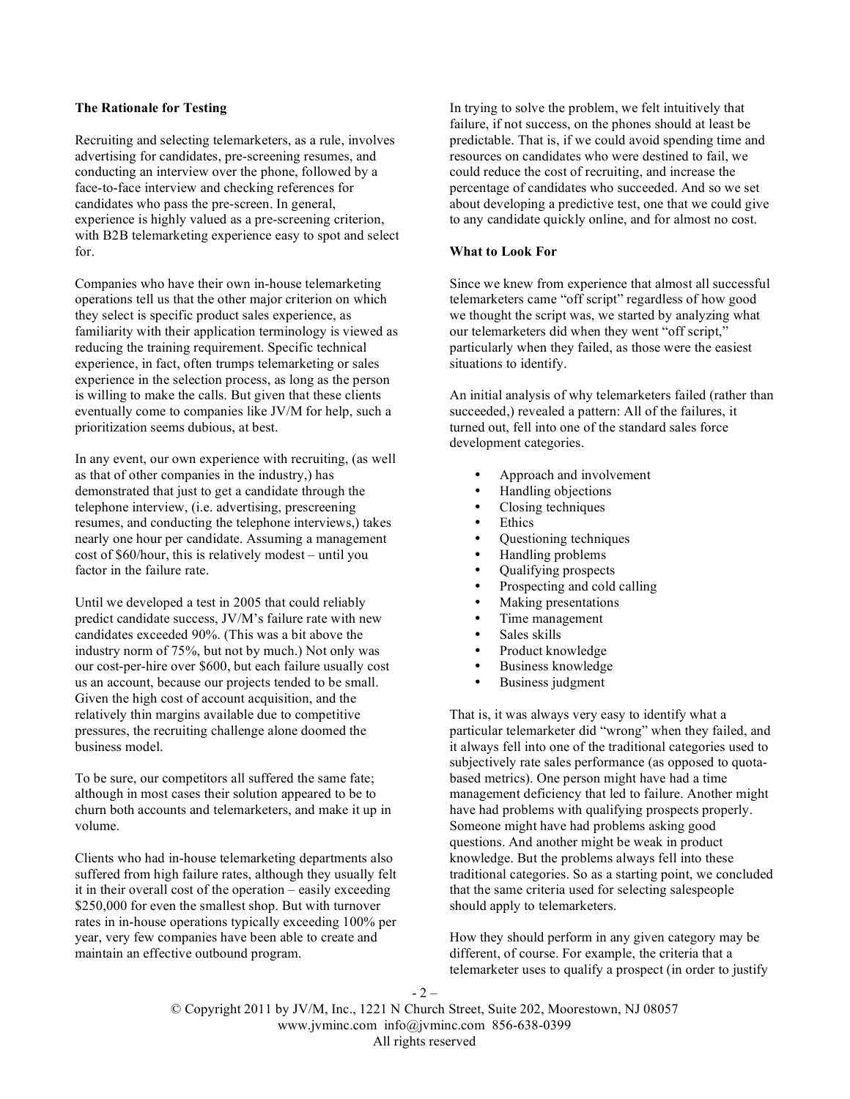# **The Rationale for Testing**

Recruiting and selecting telemarketers, as a rule, involves advertising for candidates, pre-screening resumes, and conducting an interview over the phone, followed by a face-to-face interview and checking references for candidates who pass the pre-screen. In general, experience is highly valued as a pre-screening criterion, with B2B telemarketing experience easy to spot and select for.

Companies who have their own in-house telemarketing operations tell us that the other major criterion on which they select is specific product sales experience, as familiarity with their application terminology is viewed as reducing the training requirement. Specific technical experience, in fact, often trumps telemarketing or sales experience in the selection process, as long as the person is willing to make the calls. But given that these clients eventually come to companies like JV/M for help, such a prioritization seems dubious, at best.

In any event, our own experience with recruiting, (as well as that of other companies in the industry,) has demonstrated that just to get a candidate through the telephone interview, (i.e. advertising, prescreening resumes, and conducting the telephone interviews,) takes nearly one hour per candidate. Assuming a management cost of \$60/hour, this is relatively modest – until you factor in the failure rate.

Until we developed a test in 2005 that could reliably predict candidate success, JV/M's failure rate with new candidates exceeded 90%. (This was a bit above the industry norm of 75%, but not by much.) Not only was our cost-per-hire over \$600, but each failure usually cost us an account, because our projects tended to be small. Given the high cost of account acquisition, and the relatively thin margins available due to competitive pressures, the recruiting challenge alone doomed the business model.

To be sure, our competitors all suffered the same fate; although in most cases their solution appeared to be to churn both accounts and telemarketers, and make it up in volume.

Clients who had in-house telemarketing departments also suffered from high failure rates, although they usually felt it in their overall cost of the operation – easily exceeding \$250,000 for even the smallest shop. But with turnover rates in in-house operations typically exceeding 100% per year, very few companies have been able to create and maintain an effective outbound program.

In trying to solve the problem, we felt intuitively that failure, if not success, on the phones should at least be predictable. That is, if we could avoid spending time and resources on candidates who were destined to fail, we could reduce the cost of recruiting, and increase the percentage of candidates who succeeded. And so we set about developing a predictive test, one that we could give to any candidate quickly online, and for almost no cost.

## **What to Look For**

Since we knew from experience that almost all successful telemarketers came "off script" regardless of how good we thought the script was, we started by analyzing what our telemarketers did when they went "off script," particularly when they failed, as those were the easiest situations to identify.

An initial analysis of why telemarketers failed (rather than succeeded,) revealed a pattern: All of the failures, it turned out, fell into one of the standard sales force development categories.

- Approach and involvement
- Handling objections
- Closing techniques
- Ethics
- Questioning techniques
- Handling problems
- Qualifying prospects
- Prospecting and cold calling
- Making presentations
- Time management
- Sales skills
- Product knowledge
- Business knowledge
- Business judgment

That is, it was always very easy to identify what a particular telemarketer did "wrong" when they failed, and it always fell into one of the traditional categories used to subjectively rate sales performance (as opposed to quotabased metrics). One person might have had a time management deficiency that led to failure. Another might have had problems with qualifying prospects properly. Someone might have had problems asking good questions. And another might be weak in product knowledge. But the problems always fell into these traditional categories. So as a starting point, we concluded that the same criteria used for selecting salespeople should apply to telemarketers.

How they should perform in any given category may be different, of course. For example, the criteria that a telemarketer uses to qualify a prospect (in order to justify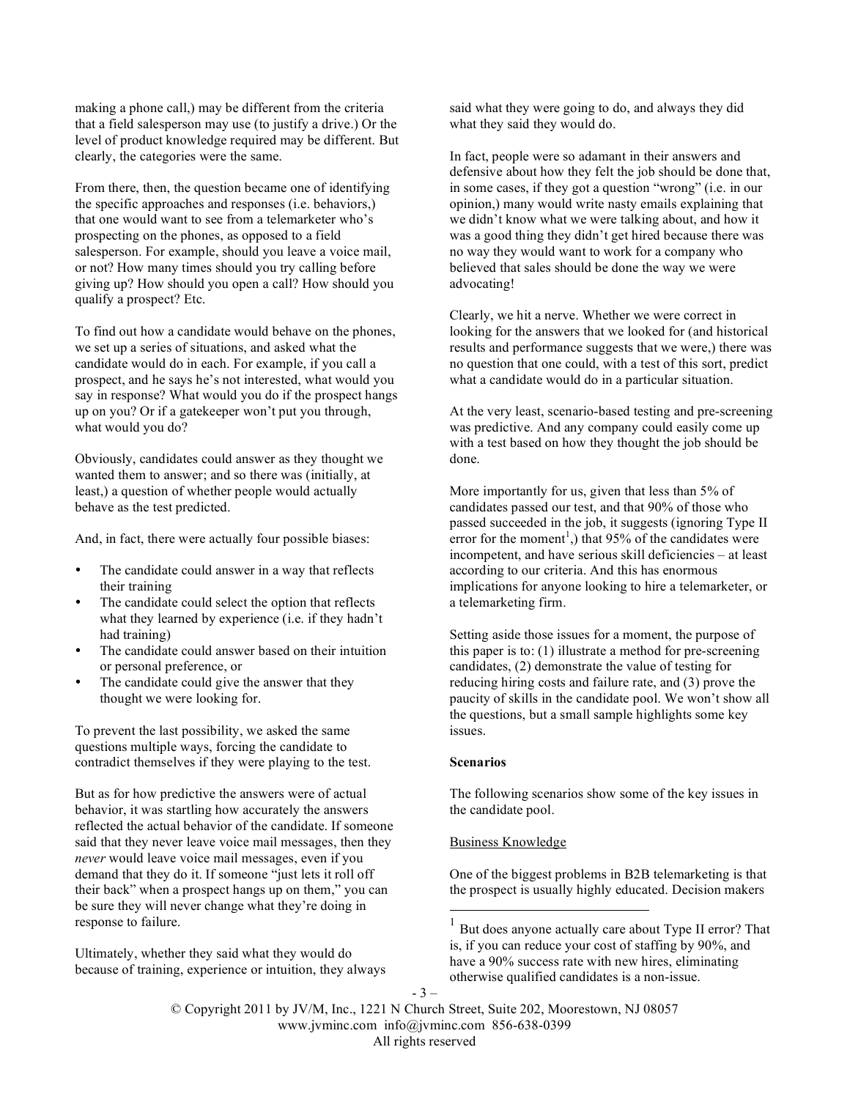making a phone call,) may be different from the criteria that a field salesperson may use (to justify a drive.) Or the level of product knowledge required may be different. But clearly, the categories were the same.

From there, then, the question became one of identifying the specific approaches and responses (i.e. behaviors,) that one would want to see from a telemarketer who's prospecting on the phones, as opposed to a field salesperson. For example, should you leave a voice mail, or not? How many times should you try calling before giving up? How should you open a call? How should you qualify a prospect? Etc.

To find out how a candidate would behave on the phones, we set up a series of situations, and asked what the candidate would do in each. For example, if you call a prospect, and he says he's not interested, what would you say in response? What would you do if the prospect hangs up on you? Or if a gatekeeper won't put you through, what would you do?

Obviously, candidates could answer as they thought we wanted them to answer; and so there was (initially, at least,) a question of whether people would actually behave as the test predicted.

And, in fact, there were actually four possible biases:

- The candidate could answer in a way that reflects their training
- The candidate could select the option that reflects what they learned by experience (i.e. if they hadn't had training)
- The candidate could answer based on their intuition or personal preference, or
- The candidate could give the answer that they thought we were looking for.

To prevent the last possibility, we asked the same questions multiple ways, forcing the candidate to contradict themselves if they were playing to the test.

But as for how predictive the answers were of actual behavior, it was startling how accurately the answers reflected the actual behavior of the candidate. If someone said that they never leave voice mail messages, then they *never* would leave voice mail messages, even if you demand that they do it. If someone "just lets it roll off their back" when a prospect hangs up on them," you can be sure they will never change what they're doing in response to failure.

Ultimately, whether they said what they would do because of training, experience or intuition, they always said what they were going to do, and always they did what they said they would do.

In fact, people were so adamant in their answers and defensive about how they felt the job should be done that, in some cases, if they got a question "wrong" (i.e. in our opinion,) many would write nasty emails explaining that we didn't know what we were talking about, and how it was a good thing they didn't get hired because there was no way they would want to work for a company who believed that sales should be done the way we were advocating!

Clearly, we hit a nerve. Whether we were correct in looking for the answers that we looked for (and historical results and performance suggests that we were,) there was no question that one could, with a test of this sort, predict what a candidate would do in a particular situation.

At the very least, scenario-based testing and pre-screening was predictive. And any company could easily come up with a test based on how they thought the job should be done.

More importantly for us, given that less than 5% of candidates passed our test, and that 90% of those who passed succeeded in the job, it suggests (ignoring Type II error for the moment<sup>1</sup>,) that 95% of the candidates were incompetent, and have serious skill deficiencies – at least according to our criteria. And this has enormous implications for anyone looking to hire a telemarketer, or a telemarketing firm.

Setting aside those issues for a moment, the purpose of this paper is to: (1) illustrate a method for pre-screening candidates, (2) demonstrate the value of testing for reducing hiring costs and failure rate, and (3) prove the paucity of skills in the candidate pool. We won't show all the questions, but a small sample highlights some key issues.

### **Scenarios**

The following scenarios show some of the key issues in the candidate pool.

#### Business Knowledge

One of the biggest problems in B2B telemarketing is that the prospect is usually highly educated. Decision makers

© Copyright 2011 by JV/M, Inc., 1221 N Church Street, Suite 202, Moorestown, NJ 08057 www.jvminc.com info@jvminc.com 856-638-0399 All rights reserved

<sup>&</sup>lt;sup>1</sup> But does anyone actually care about Type II error? That is, if you can reduce your cost of staffing by 90%, and have a 90% success rate with new hires, eliminating otherwise qualified candidates is a non-issue.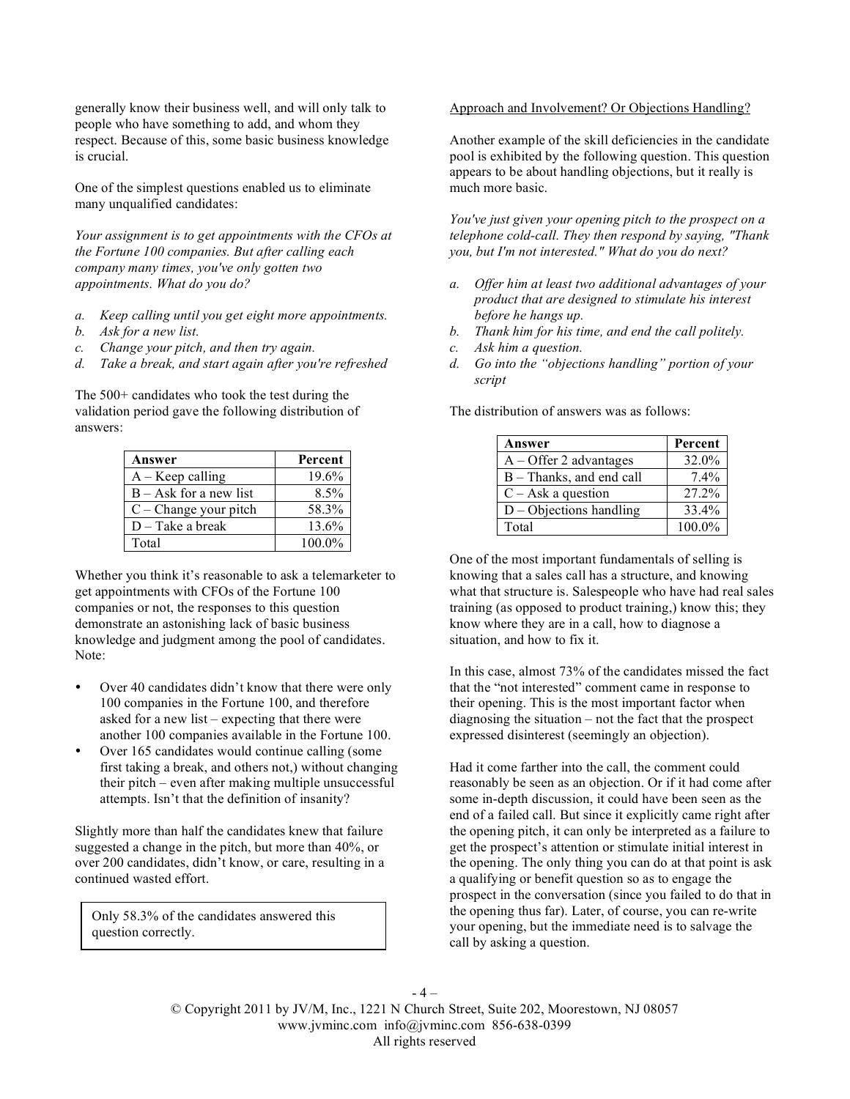generally know their business well, and will only talk to people who have something to add, and whom they respect. Because of this, some basic business knowledge is crucial.

One of the simplest questions enabled us to eliminate many unqualified candidates:

*Your assignment is to get appointments with the CFOs at the Fortune 100 companies. But after calling each company many times, you've only gotten two appointments. What do you do?*

- *a. Keep calling until you get eight more appointments.*
- *b. Ask for a new list.*
- *c. Change your pitch, and then try again.*
- *d. Take a break, and start again after you're refreshed*

The 500+ candidates who took the test during the validation period gave the following distribution of answers:

| Answer                   | Percent |
|--------------------------|---------|
| $A - Keep calling$       | 19.6%   |
| $B - Ask$ for a new list | $8.5\%$ |
| $C$ – Change your pitch  | 58.3%   |
| $D$ – Take a break       | 13.6%   |
| Total                    | 100.0%  |

Whether you think it's reasonable to ask a telemarketer to get appointments with CFOs of the Fortune 100 companies or not, the responses to this question demonstrate an astonishing lack of basic business knowledge and judgment among the pool of candidates. Note:

- Over 40 candidates didn't know that there were only 100 companies in the Fortune 100, and therefore asked for a new list – expecting that there were another 100 companies available in the Fortune 100.
- Over 165 candidates would continue calling (some first taking a break, and others not,) without changing their pitch – even after making multiple unsuccessful attempts. Isn't that the definition of insanity?

Slightly more than half the candidates knew that failure suggested a change in the pitch, but more than 40%, or over 200 candidates, didn't know, or care, resulting in a continued wasted effort.

Only 58.3% of the candidates answered this question correctly.

# Approach and Involvement? Or Objections Handling?

Another example of the skill deficiencies in the candidate pool is exhibited by the following question. This question appears to be about handling objections, but it really is much more basic.

*You've just given your opening pitch to the prospect on a telephone cold-call. They then respond by saying, "Thank you, but I'm not interested." What do you do next?*

- *a. Offer him at least two additional advantages of your product that are designed to stimulate his interest before he hangs up.*
- *b. Thank him for his time, and end the call politely.*
- *c. Ask him a question.*
- *d. Go into the "objections handling" portion of your script*

The distribution of answers was as follows:

| Answer                   | Percent |
|--------------------------|---------|
| $A -$ Offer 2 advantages | 32.0%   |
| B – Thanks, and end call | $7.4\%$ |
| $C - Ask$ a question     | 27.2%   |
| $D - Objects$ handling   | 33.4%   |
| Total                    | 100.0%  |

One of the most important fundamentals of selling is knowing that a sales call has a structure, and knowing what that structure is. Salespeople who have had real sales training (as opposed to product training,) know this; they know where they are in a call, how to diagnose a situation, and how to fix it.

In this case, almost 73% of the candidates missed the fact that the "not interested" comment came in response to their opening. This is the most important factor when diagnosing the situation – not the fact that the prospect expressed disinterest (seemingly an objection).

Had it come farther into the call, the comment could reasonably be seen as an objection. Or if it had come after some in-depth discussion, it could have been seen as the end of a failed call. But since it explicitly came right after the opening pitch, it can only be interpreted as a failure to get the prospect's attention or stimulate initial interest in the opening. The only thing you can do at that point is ask a qualifying or benefit question so as to engage the prospect in the conversation (since you failed to do that in the opening thus far). Later, of course, you can re-write your opening, but the immediate need is to salvage the call by asking a question.

- 4 – © Copyright 2011 by JV/M, Inc., 1221 N Church Street, Suite 202, Moorestown, NJ 08057 www.jvminc.com info@jvminc.com 856-638-0399 All rights reserved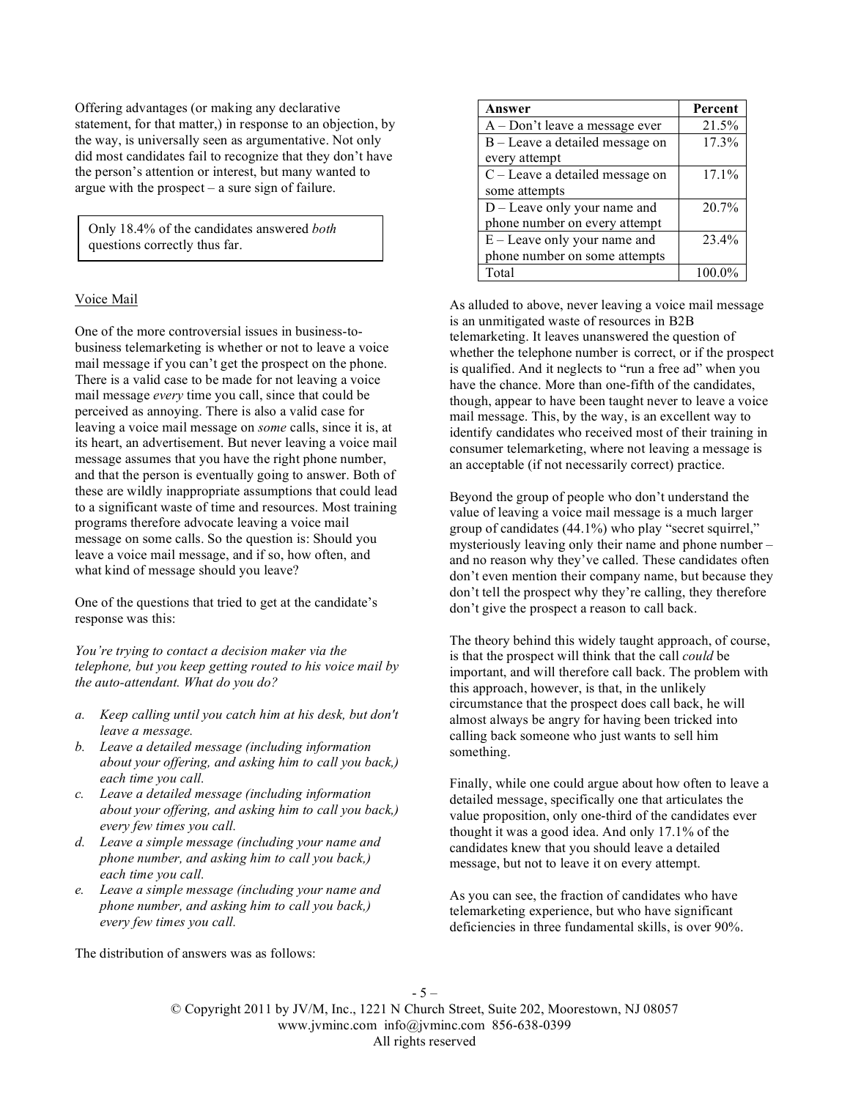Offering advantages (or making any declarative statement, for that matter,) in response to an objection, by the way, is universally seen as argumentative. Not only did most candidates fail to recognize that they don't have the person's attention or interest, but many wanted to argue with the prospect – a sure sign of failure.

Only 18.4% of the candidates answered *both* questions correctly thus far.

## Voice Mail

One of the more controversial issues in business-tobusiness telemarketing is whether or not to leave a voice mail message if you can't get the prospect on the phone. There is a valid case to be made for not leaving a voice mail message *every* time you call, since that could be perceived as annoying. There is also a valid case for leaving a voice mail message on *some* calls, since it is, at its heart, an advertisement. But never leaving a voice mail message assumes that you have the right phone number, and that the person is eventually going to answer. Both of these are wildly inappropriate assumptions that could lead to a significant waste of time and resources. Most training programs therefore advocate leaving a voice mail message on some calls. So the question is: Should you leave a voice mail message, and if so, how often, and what kind of message should you leave?

One of the questions that tried to get at the candidate's response was this:

*You're trying to contact a decision maker via the telephone, but you keep getting routed to his voice mail by the auto-attendant. What do you do?*

- *a. Keep calling until you catch him at his desk, but don't leave a message.*
- *b. Leave a detailed message (including information about your offering, and asking him to call you back,) each time you call.*
- *c. Leave a detailed message (including information about your offering, and asking him to call you back,) every few times you call.*
- *d. Leave a simple message (including your name and phone number, and asking him to call you back,) each time you call.*
- *e. Leave a simple message (including your name and phone number, and asking him to call you back,) every few times you call.*

The distribution of answers was as follows:

| Answer                            | Percent |
|-----------------------------------|---------|
| A - Don't leave a message ever    | 21.5%   |
| B – Leave a detailed message on   | 17.3%   |
| every attempt                     |         |
| $C$ – Leave a detailed message on | 17.1%   |
| some attempts                     |         |
| $D$ – Leave only your name and    | 20.7%   |
| phone number on every attempt     |         |
| $E -$ Leave only your name and    | 23.4%   |
| phone number on some attempts     |         |
| Total                             | 100.0%  |

As alluded to above, never leaving a voice mail message is an unmitigated waste of resources in B2B telemarketing. It leaves unanswered the question of whether the telephone number is correct, or if the prospect is qualified. And it neglects to "run a free ad" when you have the chance. More than one-fifth of the candidates, though, appear to have been taught never to leave a voice mail message. This, by the way, is an excellent way to identify candidates who received most of their training in consumer telemarketing, where not leaving a message is an acceptable (if not necessarily correct) practice.

Beyond the group of people who don't understand the value of leaving a voice mail message is a much larger group of candidates (44.1%) who play "secret squirrel," mysteriously leaving only their name and phone number – and no reason why they've called. These candidates often don't even mention their company name, but because they don't tell the prospect why they're calling, they therefore don't give the prospect a reason to call back.

The theory behind this widely taught approach, of course, is that the prospect will think that the call *could* be important, and will therefore call back. The problem with this approach, however, is that, in the unlikely circumstance that the prospect does call back, he will almost always be angry for having been tricked into calling back someone who just wants to sell him something.

Finally, while one could argue about how often to leave a detailed message, specifically one that articulates the value proposition, only one-third of the candidates ever thought it was a good idea. And only 17.1% of the candidates knew that you should leave a detailed message, but not to leave it on every attempt.

As you can see, the fraction of candidates who have telemarketing experience, but who have significant deficiencies in three fundamental skills, is over 90%.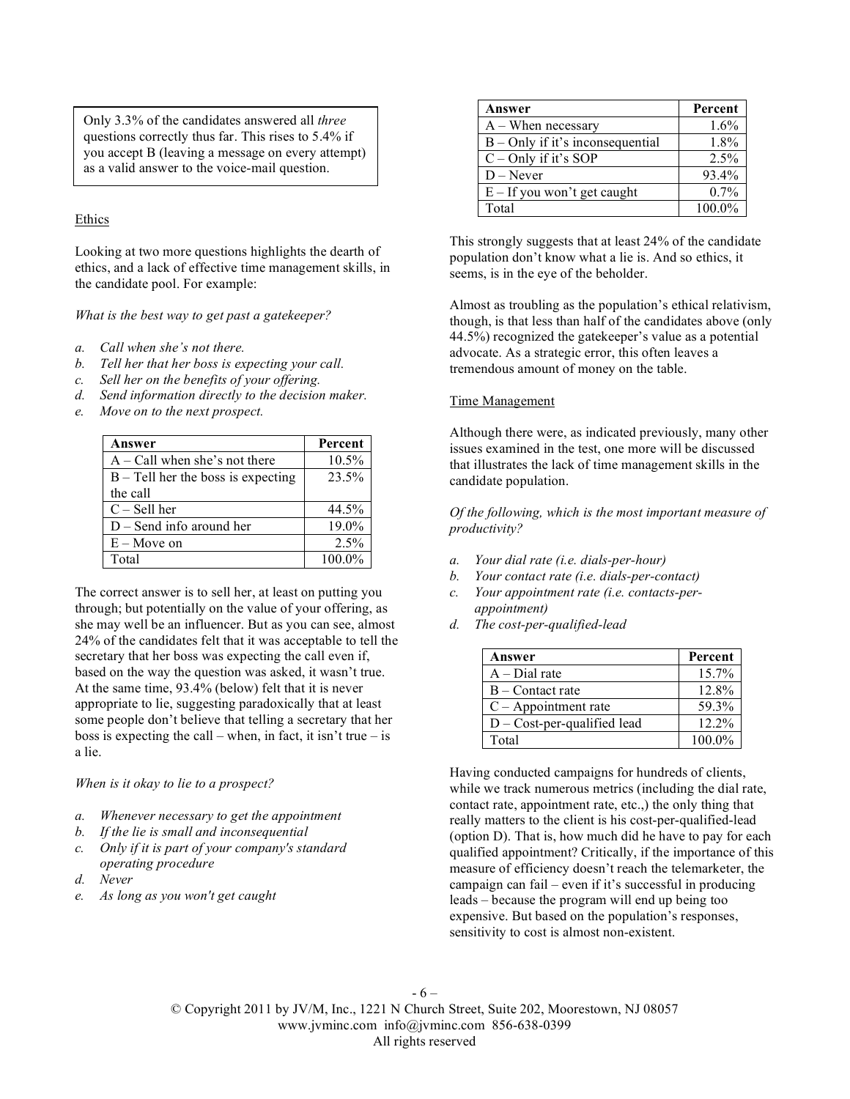Only 3.3% of the candidates answered all *three* questions correctly thus far. This rises to 5.4% if you accept B (leaving a message on every attempt) as a valid answer to the voice-mail question.

#### Ethics

Looking at two more questions highlights the dearth of ethics, and a lack of effective time management skills, in the candidate pool. For example:

*What is the best way to get past a gatekeeper?*

- *a. Call when she's not there.*
- *b. Tell her that her boss is expecting your call.*
- *c. Sell her on the benefits of your offering.*
- *d. Send information directly to the decision maker.*
- *e. Move on to the next prospect.*

| Answer                              | Percent |
|-------------------------------------|---------|
| $A - Call$ when she's not there     | 10.5%   |
| $B - Tel$ her the boss is expecting | 23.5%   |
| the call                            |         |
| $C -$ Sell her                      | 44.5%   |
| $D -$ Send info around her          | 19.0%   |
| $E - Move on$                       | 2.5%    |
| Total                               | 100.0%  |

The correct answer is to sell her, at least on putting you through; but potentially on the value of your offering, as she may well be an influencer. But as you can see, almost 24% of the candidates felt that it was acceptable to tell the secretary that her boss was expecting the call even if, based on the way the question was asked, it wasn't true. At the same time, 93.4% (below) felt that it is never appropriate to lie, suggesting paradoxically that at least some people don't believe that telling a secretary that her boss is expecting the call – when, in fact, it isn't true – is a lie.

*When is it okay to lie to a prospect?*

- *a. Whenever necessary to get the appointment*
- *b. If the lie is small and inconsequential*
- *c. Only if it is part of your company's standard operating procedure*
- *d. Never*
- *e. As long as you won't get caught*

| Answer                             | Percent |
|------------------------------------|---------|
| $A$ – When necessary               | $1.6\%$ |
| $B$ – Only if it's inconsequential | 1.8%    |
| $C$ – Only if it's SOP             | 2.5%    |
| $D - Never$                        | 93.4%   |
| $E - If you won't get caught$      | 0.7%    |
| Total                              | 100.0%  |

This strongly suggests that at least 24% of the candidate population don't know what a lie is. And so ethics, it seems, is in the eye of the beholder.

Almost as troubling as the population's ethical relativism, though, is that less than half of the candidates above (only 44.5%) recognized the gatekeeper's value as a potential advocate. As a strategic error, this often leaves a tremendous amount of money on the table.

#### Time Management

Although there were, as indicated previously, many other issues examined in the test, one more will be discussed that illustrates the lack of time management skills in the candidate population.

*Of the following, which is the most important measure of productivity?*

- *a. Your dial rate (i.e. dials-per-hour)*
- *b. Your contact rate (i.e. dials-per-contact)*
- *c. Your appointment rate (i.e. contacts-perappointment)*
- *d. The cost-per-qualified-lead*

| Answer                        | Percent |
|-------------------------------|---------|
| $A$ – Dial rate               | 15.7%   |
| $B -$ Contact rate            | 12.8%   |
| $C -$ Appointment rate        | 59.3%   |
| $D$ – Cost-per-qualified lead | 12.2%   |
| Total                         | 100.0%  |

Having conducted campaigns for hundreds of clients, while we track numerous metrics (including the dial rate, contact rate, appointment rate, etc.,) the only thing that really matters to the client is his cost-per-qualified-lead (option D). That is, how much did he have to pay for each qualified appointment? Critically, if the importance of this measure of efficiency doesn't reach the telemarketer, the campaign can fail – even if it's successful in producing leads – because the program will end up being too expensive. But based on the population's responses, sensitivity to cost is almost non-existent.

- 6 – © Copyright 2011 by JV/M, Inc., 1221 N Church Street, Suite 202, Moorestown, NJ 08057 www.jvminc.com info@jvminc.com 856-638-0399 All rights reserved